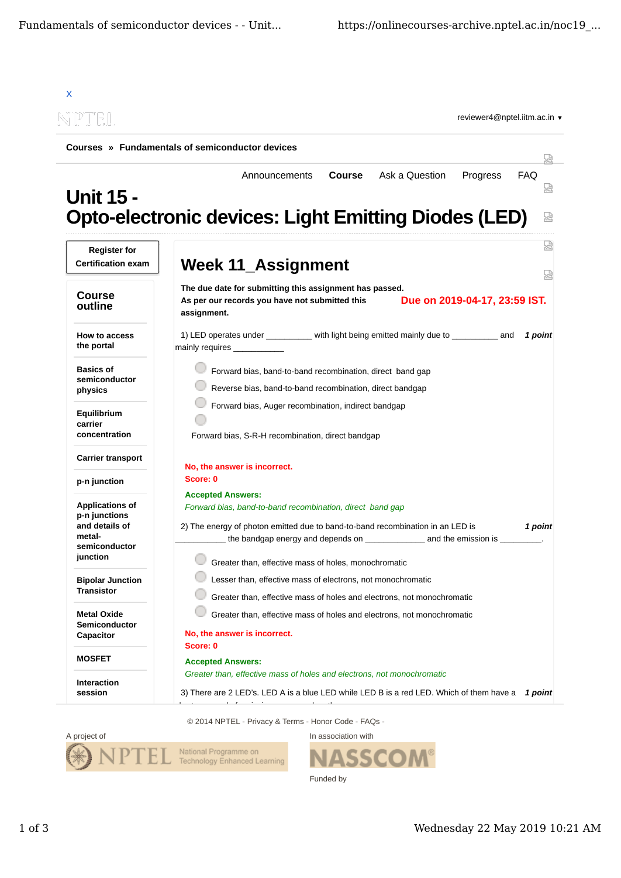

© 2014 NPTEL - Privacy & Terms - Honor Code - FAQs -



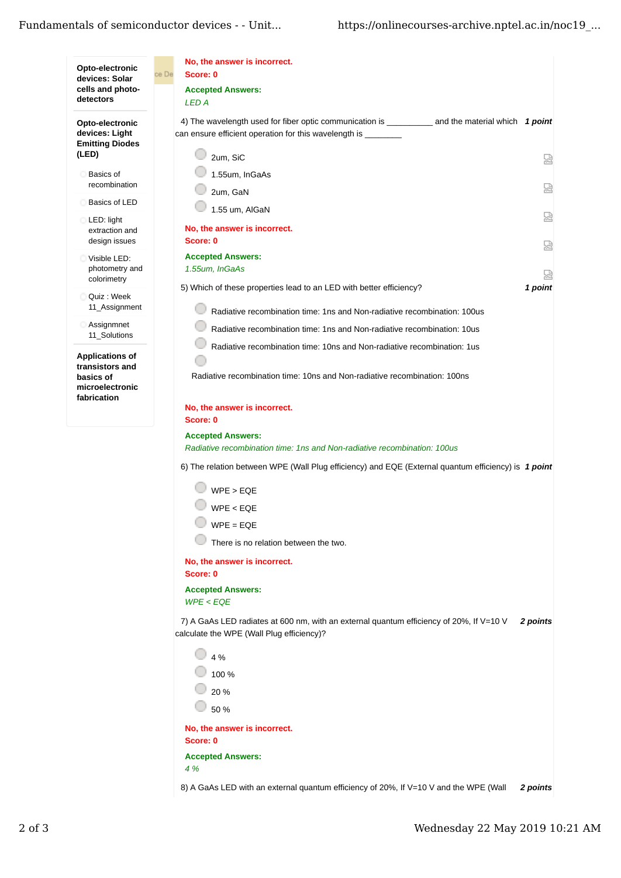## Fundamentals of semiconductor devices - - Unit...